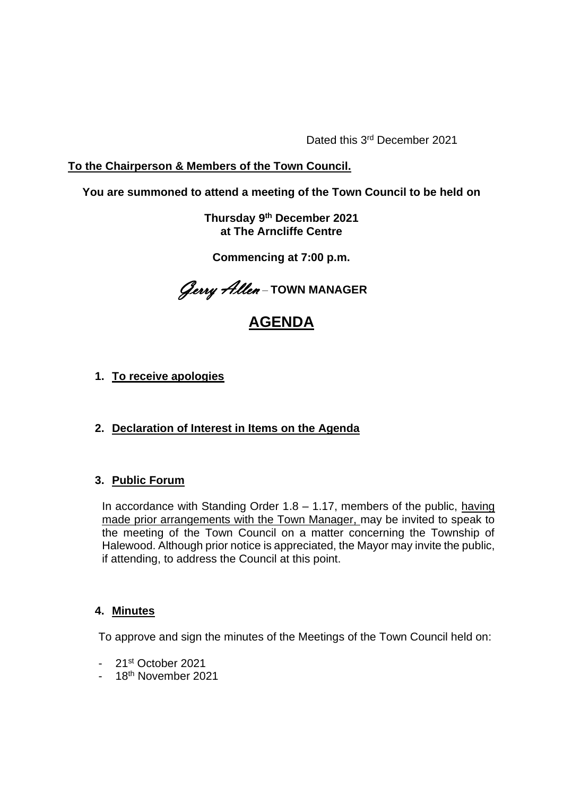Dated this 3<sup>rd</sup> December 2021

# **To the Chairperson & Members of the Town Council.**

# **You are summoned to attend a meeting of the Town Council to be held on**

**Thursday 9 th December 2021 at The Arncliffe Centre** 

**Commencing at 7:00 p.m.**

Gerry Allen – **TOWN MANAGER**

# **AGENDA**

# **1. To receive apologies**

# **2. Declaration of Interest in Items on the Agenda**

## **3. Public Forum**

In accordance with Standing Order  $1.8 - 1.17$ , members of the public, having made prior arrangements with the Town Manager, may be invited to speak to the meeting of the Town Council on a matter concerning the Township of Halewood. Although prior notice is appreciated, the Mayor may invite the public, if attending, to address the Council at this point.

## **4. Minutes**

To approve and sign the minutes of the Meetings of the Town Council held on:

- 21st October 2021
- 18<sup>th</sup> November 2021